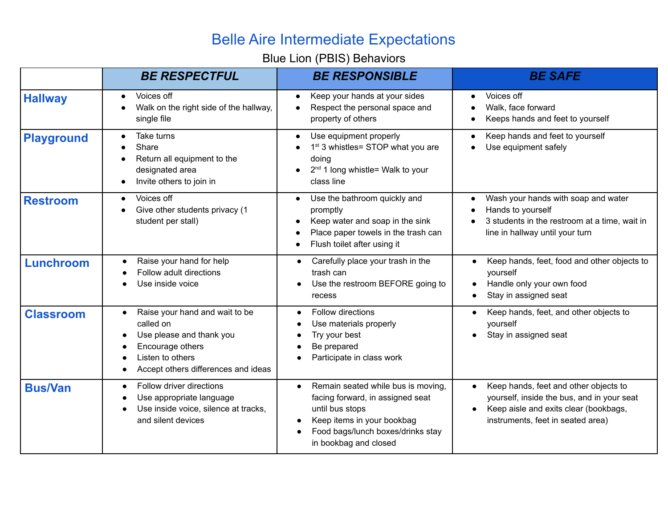## Belle Aire Intermediate Expectations

## Blue Lion (PBIS) Behaviors

|                   | <b>BE RESPECTFUL</b>                                                                                                                                                | <b>BE RESPONSIBLE</b>                                                                                                                                                                                           | <b>BE SAFE</b>                                                                                                                                                                 |
|-------------------|---------------------------------------------------------------------------------------------------------------------------------------------------------------------|-----------------------------------------------------------------------------------------------------------------------------------------------------------------------------------------------------------------|--------------------------------------------------------------------------------------------------------------------------------------------------------------------------------|
| <b>Hallway</b>    | Voices off<br>Walk on the right side of the hallway,<br>single file                                                                                                 | Keep your hands at your sides<br>$\bullet$<br>Respect the personal space and<br>$\bullet$<br>property of others                                                                                                 | Voices off<br>Walk, face forward<br>Keeps hands and feet to yourself                                                                                                           |
| <b>Playground</b> | Take turns<br>Share<br>Return all equipment to the<br>designated area<br>Invite others to join in                                                                   | Use equipment properly<br>$\bullet$<br>1 <sup>st</sup> 3 whistles= STOP what you are<br>doing<br>2 <sup>nd</sup> 1 long whistle= Walk to your<br>class line                                                     | Keep hands and feet to yourself<br>Use equipment safely                                                                                                                        |
| <b>Restroom</b>   | Voices off<br>Give other students privacy (1<br>student per stall)                                                                                                  | Use the bathroom quickly and<br>$\bullet$<br>promptly<br>Keep water and soap in the sink<br>$\bullet$<br>Place paper towels in the trash can<br>$\bullet$<br>Flush toilet after using it<br>$\bullet$           | Wash your hands with soap and water<br>Hands to yourself<br>3 students in the restroom at a time, wait in<br>line in hallway until your turn                                   |
| Lunchroom         | Raise your hand for help<br>Follow adult directions<br>Use inside voice                                                                                             | Carefully place your trash in the<br>$\bullet$<br>trash can<br>Use the restroom BEFORE going to<br>recess                                                                                                       | Keep hands, feet, food and other objects to<br>yourself<br>Handle only your own food<br>Stay in assigned seat                                                                  |
| <b>Classroom</b>  | Raise your hand and wait to be<br>$\bullet$<br>called on<br>Use please and thank you<br>Encourage others<br>Listen to others<br>Accept others differences and ideas | Follow directions<br>Use materials properly<br>Try your best<br>Be prepared<br>Participate in class work                                                                                                        | Keep hands, feet, and other objects to<br>yourself<br>Stay in assigned seat                                                                                                    |
| <b>Bus/Van</b>    | Follow driver directions<br>Use appropriate language<br>Use inside voice, silence at tracks,<br>and silent devices                                                  | Remain seated while bus is moving,<br>$\bullet$<br>facing forward, in assigned seat<br>until bus stops<br>Keep items in your bookbag<br>$\bullet$<br>Food bags/lunch boxes/drinks stay<br>in bookbag and closed | Keep hands, feet and other objects to<br>$\bullet$<br>yourself, inside the bus, and in your seat<br>Keep aisle and exits clear (bookbags,<br>instruments, feet in seated area) |